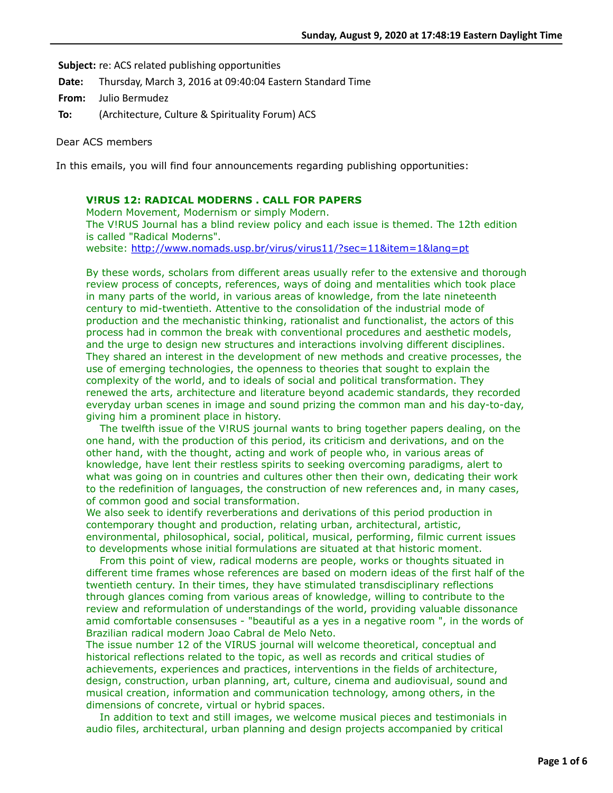Subject: re: ACS related publishing opportunities

**Date:** Thursday, March 3, 2016 at 09:40:04 Eastern Standard Time

**From:** Julio Bermudez

**To:** (Architecture, Culture & Spirituality Forum) ACS

Dear ACS members

In this emails, you will find four announcements regarding publishing opportunities:

# **V!RUS 12: RADICAL MODERNS . CALL FOR PAPERS**

Modern Movement, Modernism or simply Modern. The V!RUS Journal has a blind review policy and each issue is themed. The 12th edition is called "Radical Moderns". website:<http://www.nomads.usp.br/virus/virus11/?sec=11&item=1&lang=pt>

By these words, scholars from different areas usually refer to the extensive and thorough review process of concepts, references, ways of doing and mentalities which took place in many parts of the world, in various areas of knowledge, from the late nineteenth century to mid-twentieth. Attentive to the consolidation of the industrial mode of production and the mechanistic thinking, rationalist and functionalist, the actors of this process had in common the break with conventional procedures and aesthetic models, and the urge to design new structures and interactions involving different disciplines. They shared an interest in the development of new methods and creative processes, the use of emerging technologies, the openness to theories that sought to explain the complexity of the world, and to ideals of social and political transformation. They renewed the arts, architecture and literature beyond academic standards, they recorded everyday urban scenes in image and sound prizing the common man and his day-to-day, giving him a prominent place in history.

 The twelfth issue of the V!RUS journal wants to bring together papers dealing, on the one hand, with the production of this period, its criticism and derivations, and on the other hand, with the thought, acting and work of people who, in various areas of knowledge, have lent their restless spirits to seeking overcoming paradigms, alert to what was going on in countries and cultures other then their own, dedicating their work to the redefinition of languages, the construction of new references and, in many cases, of common good and social transformation.

We also seek to identify reverberations and derivations of this period production in contemporary thought and production, relating urban, architectural, artistic, environmental, philosophical, social, political, musical, performing, filmic current issues to developments whose initial formulations are situated at that historic moment.

 From this point of view, radical moderns are people, works or thoughts situated in different time frames whose references are based on modern ideas of the first half of the twentieth century. In their times, they have stimulated transdisciplinary reflections through glances coming from various areas of knowledge, willing to contribute to the review and reformulation of understandings of the world, providing valuable dissonance amid comfortable consensuses - "beautiful as a yes in a negative room ", in the words of Brazilian radical modern Joao Cabral de Melo Neto.

The issue number 12 of the VIRUS journal will welcome theoretical, conceptual and historical reflections related to the topic, as well as records and critical studies of achievements, experiences and practices, interventions in the fields of architecture, design, construction, urban planning, art, culture, cinema and audiovisual, sound and musical creation, information and communication technology, among others, in the dimensions of concrete, virtual or hybrid spaces.

 In addition to text and still images, we welcome musical pieces and testimonials in audio files, architectural, urban planning and design projects accompanied by critical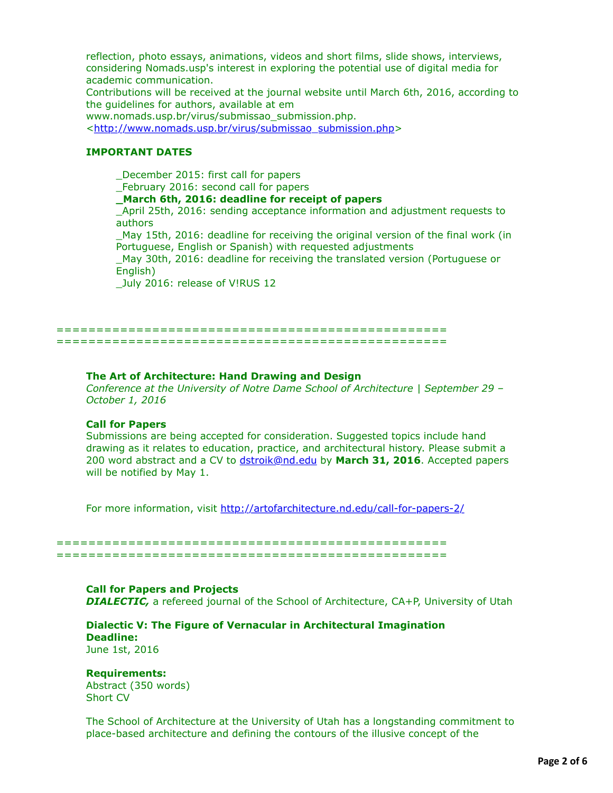reflection, photo essays, animations, videos and short films, slide shows, interviews, considering Nomads.usp's interest in exploring the potential use of digital media for academic communication.

Contributions will be received at the journal website until March 6th, 2016, according to the guidelines for authors, available at em

www.nomads.usp.br/virus/submissao\_submission.php.

<[http://www.nomads.usp.br/virus/submissao\\_submission.php](http://www.nomads.usp.br/virus/submissao_submission.php)>

### **IMPORTANT DATES**

\_December 2015: first call for papers

\_February 2016: second call for papers

**\_March 6th, 2016: deadline for receipt of papers**

\_April 25th, 2016: sending acceptance information and adjustment requests to authors

\_May 15th, 2016: deadline for receiving the original version of the final work (in Portuguese, English or Spanish) with requested adjustments

\_May 30th, 2016: deadline for receiving the translated version (Portuguese or English)

\_July 2016: release of V!RUS 12

================================================= =================================================

### **The Art of Architecture: Hand Drawing and Design**

*Conference at the University of Notre Dame School of Architecture | September 29 – October 1, 2016* 

### **Call for Papers**

Submissions are being accepted for consideration. Suggested topics include hand drawing as it relates to education, practice, and architectural history. Please submit a 200 word abstract and a CV to [dstroik@nd.edu](applewebdata://4109D75D-1849-4106-9BCF-BC8A382C119B/dstroik@nd.edu) by **March 31, 2016**. Accepted papers will be notified by May 1.

For more information, visit<http://artofarchitecture.nd.edu/call-for-papers-2/>

================================================= =================================================

## **Call for Papers and Projects**

**DIALECTIC,** a refereed journal of the School of Architecture, CA+P, University of Utah

### **Dialectic V: The Figure of Vernacular in Architectural Imagination Deadline:** June 1st, 2016

**Requirements:**

Abstract (350 words) Short CV

The School of Architecture at the University of Utah has a longstanding commitment to place-based architecture and defining the contours of the illusive concept of the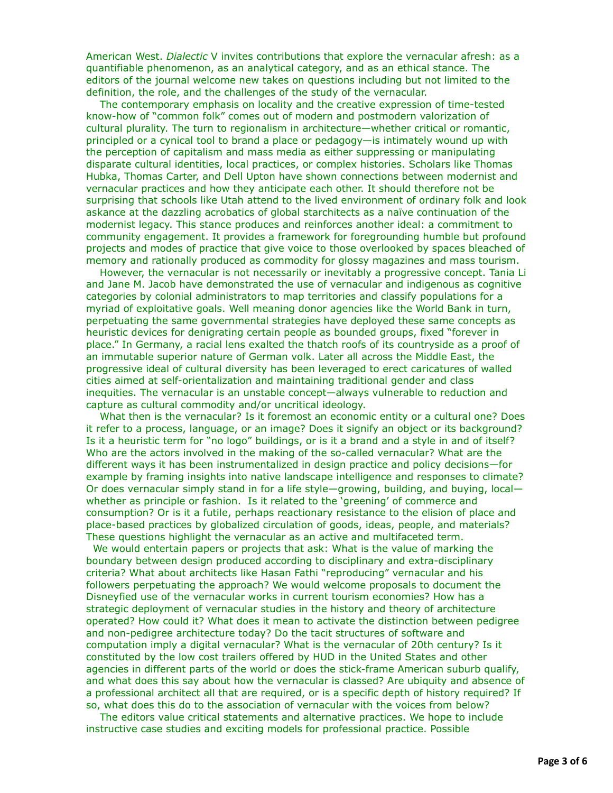American West. *Dialectic* V invites contributions that explore the vernacular afresh: as a quantifiable phenomenon, as an analytical category, and as an ethical stance. The editors of the journal welcome new takes on questions including but not limited to the definition, the role, and the challenges of the study of the vernacular.

 The contemporary emphasis on locality and the creative expression of time-tested know-how of "common folk" comes out of modern and postmodern valorization of cultural plurality. The turn to regionalism in architecture—whether critical or romantic, principled or a cynical tool to brand a place or pedagogy—is intimately wound up with the perception of capitalism and mass media as either suppressing or manipulating disparate cultural identities, local practices, or complex histories. Scholars like Thomas Hubka, Thomas Carter, and Dell Upton have shown connections between modernist and vernacular practices and how they anticipate each other. It should therefore not be surprising that schools like Utah attend to the lived environment of ordinary folk and look askance at the dazzling acrobatics of global starchitects as a naïve continuation of the modernist legacy. This stance produces and reinforces another ideal: a commitment to community engagement. It provides a framework for foregrounding humble but profound projects and modes of practice that give voice to those overlooked by spaces bleached of memory and rationally produced as commodity for glossy magazines and mass tourism.

 However, the vernacular is not necessarily or inevitably a progressive concept. Tania Li and Jane M. Jacob have demonstrated the use of vernacular and indigenous as cognitive categories by colonial administrators to map territories and classify populations for a myriad of exploitative goals. Well meaning donor agencies like the World Bank in turn, perpetuating the same governmental strategies have deployed these same concepts as heuristic devices for denigrating certain people as bounded groups, fixed "forever in place." In Germany, a racial lens exalted the thatch roofs of its countryside as a proof of an immutable superior nature of German volk. Later all across the Middle East, the progressive ideal of cultural diversity has been leveraged to erect caricatures of walled cities aimed at self-orientalization and maintaining traditional gender and class inequities. The vernacular is an unstable concept—always vulnerable to reduction and capture as cultural commodity and/or uncritical ideology.

 What then is the vernacular? Is it foremost an economic entity or a cultural one? Does it refer to a process, language, or an image? Does it signify an object or its background? Is it a heuristic term for "no logo" buildings, or is it a brand and a style in and of itself? Who are the actors involved in the making of the so-called vernacular? What are the different ways it has been instrumentalized in design practice and policy decisions—for example by framing insights into native landscape intelligence and responses to climate? Or does vernacular simply stand in for a life style—growing, building, and buying, local whether as principle or fashion. Is it related to the 'greening' of commerce and consumption? Or is it a futile, perhaps reactionary resistance to the elision of place and place-based practices by globalized circulation of goods, ideas, people, and materials? These questions highlight the vernacular as an active and multifaceted term.

 We would entertain papers or projects that ask: What is the value of marking the boundary between design produced according to disciplinary and extra-disciplinary criteria? What about architects like Hasan Fathi "reproducing" vernacular and his followers perpetuating the approach? We would welcome proposals to document the Disneyfied use of the vernacular works in current tourism economies? How has a strategic deployment of vernacular studies in the history and theory of architecture operated? How could it? What does it mean to activate the distinction between pedigree and non-pedigree architecture today? Do the tacit structures of software and computation imply a digital vernacular? What is the vernacular of 20th century? Is it constituted by the low cost trailers offered by HUD in the United States and other agencies in different parts of the world or does the stick-frame American suburb qualify, and what does this say about how the vernacular is classed? Are ubiquity and absence of a professional architect all that are required, or is a specific depth of history required? If so, what does this do to the association of vernacular with the voices from below?

 The editors value critical statements and alternative practices. We hope to include instructive case studies and exciting models for professional practice. Possible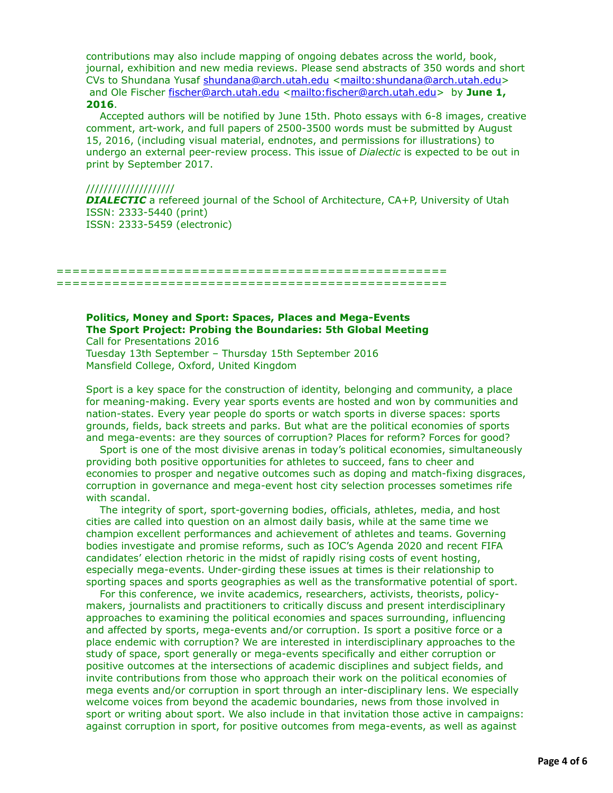contributions may also include mapping of ongoing debates across the world, book, journal, exhibition and new media reviews. Please send abstracts of 350 words and short CVs to Shundana Yusaf [shundana@arch.utah.edu](applewebdata://4109D75D-1849-4106-9BCF-BC8A382C119B/shundana@arch.utah.edu) [<mailto:shundana@arch.utah.edu>](mailto:shundana@arch.utah.edu) and Ole Fischer [fischer@arch.utah.edu](applewebdata://4109D75D-1849-4106-9BCF-BC8A382C119B/fischer@arch.utah.edu) <<mailto:fischer@arch.utah.edu>> by **June 1, 2016**.

 Accepted authors will be notified by June 15th. Photo essays with 6-8 images, creative comment, art-work, and full papers of 2500-3500 words must be submitted by August 15, 2016, (including visual material, endnotes, and permissions for illustrations) to undergo an external peer-review process. This issue of *Dialectic* is expected to be out in print by September 2017.

#### ////////////////////

**DIALECTIC** a refereed journal of the School of Architecture, CA+P, University of Utah ISSN: 2333-5440 (print) ISSN: 2333-5459 (electronic)

================================================= =================================================

#### **Politics, Money and Sport: Spaces, Places and Mega-Events The Sport Project: Probing the Boundaries: 5th Global Meeting** Call for Presentations 2016

Tuesday 13th September – Thursday 15th September 2016 Mansfield College, Oxford, United Kingdom

Sport is a key space for the construction of identity, belonging and community, a place for meaning-making. Every year sports events are hosted and won by communities and nation-states. Every year people do sports or watch sports in diverse spaces: sports grounds, fields, back streets and parks. But what are the political economies of sports and mega-events: are they sources of corruption? Places for reform? Forces for good?

 Sport is one of the most divisive arenas in today's political economies, simultaneously providing both positive opportunities for athletes to succeed, fans to cheer and economies to prosper and negative outcomes such as doping and match-fixing disgraces, corruption in governance and mega-event host city selection processes sometimes rife with scandal.

 The integrity of sport, sport-governing bodies, officials, athletes, media, and host cities are called into question on an almost daily basis, while at the same time we champion excellent performances and achievement of athletes and teams. Governing bodies investigate and promise reforms, such as IOC's Agenda 2020 and recent FIFA candidates' election rhetoric in the midst of rapidly rising costs of event hosting, especially mega-events. Under-girding these issues at times is their relationship to sporting spaces and sports geographies as well as the transformative potential of sport.

 For this conference, we invite academics, researchers, activists, theorists, policymakers, journalists and practitioners to critically discuss and present interdisciplinary approaches to examining the political economies and spaces surrounding, influencing and affected by sports, mega-events and/or corruption. Is sport a positive force or a place endemic with corruption? We are interested in interdisciplinary approaches to the study of space, sport generally or mega-events specifically and either corruption or positive outcomes at the intersections of academic disciplines and subject fields, and invite contributions from those who approach their work on the political economies of mega events and/or corruption in sport through an inter-disciplinary lens. We especially welcome voices from beyond the academic boundaries, news from those involved in sport or writing about sport. We also include in that invitation those active in campaigns: against corruption in sport, for positive outcomes from mega-events, as well as against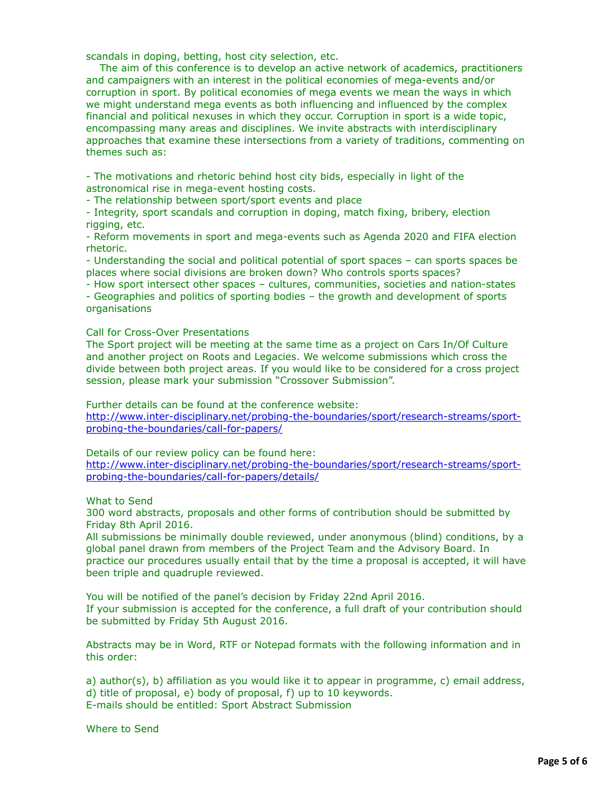scandals in doping, betting, host city selection, etc.

 The aim of this conference is to develop an active network of academics, practitioners and campaigners with an interest in the political economies of mega-events and/or corruption in sport. By political economies of mega events we mean the ways in which we might understand mega events as both influencing and influenced by the complex financial and political nexuses in which they occur. Corruption in sport is a wide topic, encompassing many areas and disciplines. We invite abstracts with interdisciplinary approaches that examine these intersections from a variety of traditions, commenting on themes such as:

- The motivations and rhetoric behind host city bids, especially in light of the astronomical rise in mega-event hosting costs.

- The relationship between sport/sport events and place

- Integrity, sport scandals and corruption in doping, match fixing, bribery, election rigging, etc.

- Reform movements in sport and mega-events such as Agenda 2020 and FIFA election rhetoric.

- Understanding the social and political potential of sport spaces – can sports spaces be places where social divisions are broken down? Who controls sports spaces?

- How sport intersect other spaces – cultures, communities, societies and nation-states - Geographies and politics of sporting bodies – the growth and development of sports organisations

#### Call for Cross-Over Presentations

The Sport project will be meeting at the same time as a project on Cars In/Of Culture and another project on Roots and Legacies. We welcome submissions which cross the divide between both project areas. If you would like to be considered for a cross project session, please mark your submission "Crossover Submission".

Further details can be found at the conference website:

[http://www.inter-disciplinary.net/probing-the-boundaries/sport/research-streams/sport](http://www.inter-disciplinary.net/probing-the-boundaries/sport/research-streams/sport-probing-the-boundaries/call-for-papers/)probing-the-boundaries/call-for-papers/

Details of our review policy can be found here:

[http://www.inter-disciplinary.net/probing-the-boundaries/sport/research-streams/sport](http://www.inter-disciplinary.net/probing-the-boundaries/sport/research-streams/sport-probing-the-boundaries/call-for-papers/details/)probing-the-boundaries/call-for-papers/details/

What to Send

300 word abstracts, proposals and other forms of contribution should be submitted by Friday 8th April 2016.

All submissions be minimally double reviewed, under anonymous (blind) conditions, by a global panel drawn from members of the Project Team and the Advisory Board. In practice our procedures usually entail that by the time a proposal is accepted, it will have been triple and quadruple reviewed.

You will be notified of the panel's decision by Friday 22nd April 2016. If your submission is accepted for the conference, a full draft of your contribution should be submitted by Friday 5th August 2016.

Abstracts may be in Word, RTF or Notepad formats with the following information and in this order:

a) author(s), b) affiliation as you would like it to appear in programme, c) email address, d) title of proposal, e) body of proposal, f) up to 10 keywords. E-mails should be entitled: Sport Abstract Submission

Where to Send